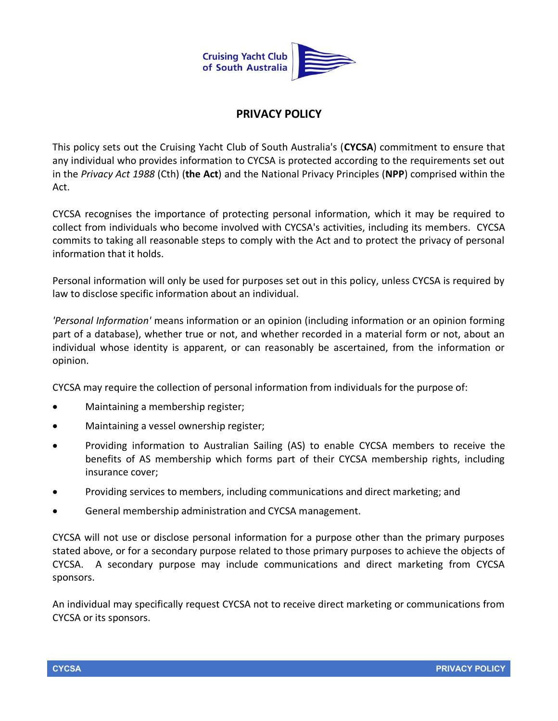

## **PRIVACY POLICY**

This policy sets out the Cruising Yacht Club of South Australia's (**CYCSA**) commitment to ensure that any individual who provides information to CYCSA is protected according to the requirements set out in the *Privacy Act 1988* (Cth) (**the Act**) and the National Privacy Principles (**NPP**) comprised within the Act.

CYCSA recognises the importance of protecting personal information, which it may be required to collect from individuals who become involved with CYCSA's activities, including its members. CYCSA commits to taking all reasonable steps to comply with the Act and to protect the privacy of personal information that it holds.

Personal information will only be used for purposes set out in this policy, unless CYCSA is required by law to disclose specific information about an individual.

*'Personal Information'* means information or an opinion (including information or an opinion forming part of a database), whether true or not, and whether recorded in a material form or not, about an individual whose identity is apparent, or can reasonably be ascertained, from the information or opinion.

CYCSA may require the collection of personal information from individuals for the purpose of:

- Maintaining a membership register;
- Maintaining a vessel ownership register;
- Providing information to Australian Sailing (AS) to enable CYCSA members to receive the benefits of AS membership which forms part of their CYCSA membership rights, including insurance cover;
- Providing services to members, including communications and direct marketing; and
- General membership administration and CYCSA management.

CYCSA will not use or disclose personal information for a purpose other than the primary purposes stated above, or for a secondary purpose related to those primary purposes to achieve the objects of CYCSA. A secondary purpose may include communications and direct marketing from CYCSA sponsors.

An individual may specifically request CYCSA not to receive direct marketing or communications from CYCSA or its sponsors.